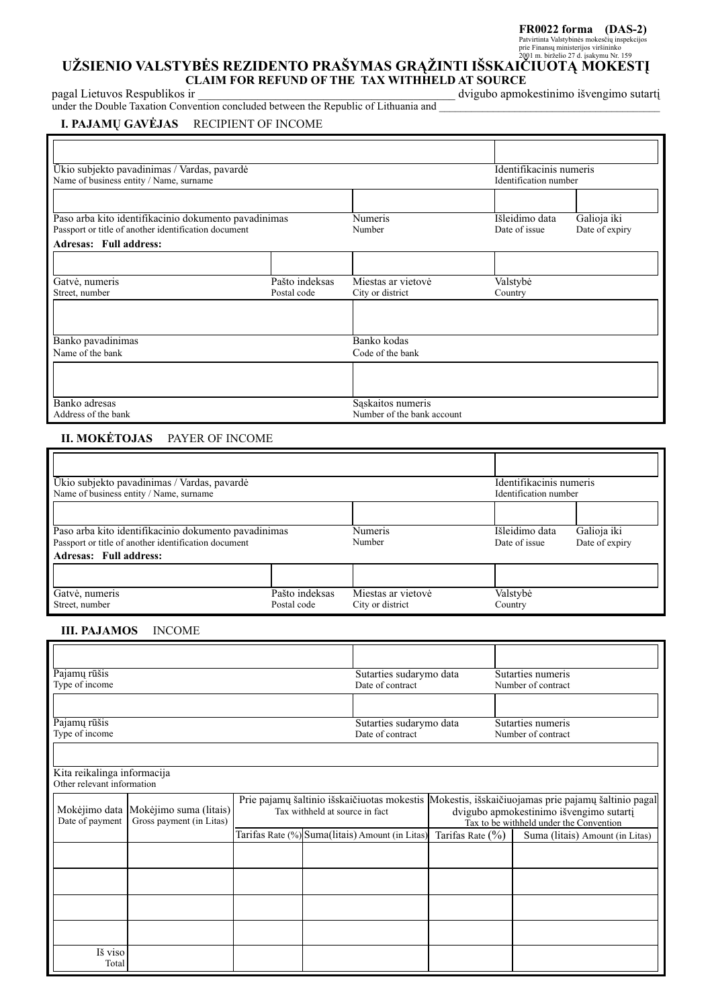#### **FR0022 forma (DAS-2)**

# Patvirtinta Valstybinès mokesëi<u>qi inspekcijos</u><br>prie Finansqu<sup>ministerijos viršininko<br>DŽSIENIO VALSTYBĖS REZIDENTO PRAŠYMAS GRAŽINTI IŠSKAIČIUOTA MOKESTI</sup> **CLAIM FOR REFUND OF THE TAX WITHHELD AT SOURCE**

pagal Lietuvos Respublikos ir \_\_\_\_\_\_\_\_\_\_\_\_\_\_\_\_\_\_\_\_\_\_\_\_\_\_\_\_\_\_\_\_\_\_\_\_\_\_\_\_\_\_\_ dvigubo apmokestinimo iðvengimo sutartá under the Double Taxation Convention concluded between the Republic of Lithuania and \_\_\_\_\_\_\_\_\_\_\_\_\_\_\_\_\_\_\_\_\_\_\_\_\_

## **I. PAJAMØ GAVËJAS** RECIPIENT OF INCOME

| Ūkio subjekto pavadinimas / Vardas, pavardė          |                |                            |                       | Identifikacinis numeris |  |  |
|------------------------------------------------------|----------------|----------------------------|-----------------------|-------------------------|--|--|
| Name of business entity / Name, surname              |                |                            | Identification number |                         |  |  |
|                                                      |                |                            |                       |                         |  |  |
| Paso arba kito identifikacinio dokumento pavadinimas | <b>Numeris</b> | Išleidimo data             | Galioja iki           |                         |  |  |
| Passport or title of another identification document |                | Number                     | Date of issue         | Date of expiry          |  |  |
| <b>Adresas: Full address:</b>                        |                |                            |                       |                         |  |  |
|                                                      |                |                            |                       |                         |  |  |
| Gatvė, numeris                                       | Pašto indeksas | Miestas ar vietovė         | Valstybė              |                         |  |  |
| Street, number                                       | Postal code    | City or district           | Country               |                         |  |  |
|                                                      |                |                            |                       |                         |  |  |
|                                                      |                |                            |                       |                         |  |  |
| Banko pavadinimas                                    |                | Banko kodas                |                       |                         |  |  |
| Name of the bank                                     |                | Code of the bank           |                       |                         |  |  |
|                                                      |                |                            |                       |                         |  |  |
|                                                      |                |                            |                       |                         |  |  |
| Banko adresas                                        |                | Saskaitos numeris          |                       |                         |  |  |
| Address of the bank                                  |                | Number of the bank account |                       |                         |  |  |

## **II. MOKËTOJAS** PAYER OF INCOME

| Ūkio subjekto pavadinimas / Vardas, pavardė<br>Name of business entity / Name, surname                       | Identifikacinis numeris<br>Identification number |                                        |                                 |                               |
|--------------------------------------------------------------------------------------------------------------|--------------------------------------------------|----------------------------------------|---------------------------------|-------------------------------|
|                                                                                                              |                                                  |                                        |                                 |                               |
| Paso arba kito identifikacinio dokumento pavadinimas<br>Passport or title of another identification document |                                                  | Numeris<br>Number                      | Išleidimo data<br>Date of issue | Galioja iki<br>Date of expiry |
| Adresas: Full address:                                                                                       |                                                  |                                        |                                 |                               |
|                                                                                                              |                                                  |                                        |                                 |                               |
| Gatvė, numeris<br>Street, number                                                                             | Pašto indeksas<br>Postal code                    | Miestas ar vietovė<br>City or district | Valstybė<br>Country             |                               |

#### **III. PAJAMOS** INCOME

| Pajamų rūšis                                              |                                                                  |                                                                               | Sutarties sudarymo data |                                                                                                                                            | Sutarties numeris    |                    |                                 |
|-----------------------------------------------------------|------------------------------------------------------------------|-------------------------------------------------------------------------------|-------------------------|--------------------------------------------------------------------------------------------------------------------------------------------|----------------------|--------------------|---------------------------------|
| Type of income                                            |                                                                  |                                                                               |                         | Date of contract                                                                                                                           |                      | Number of contract |                                 |
|                                                           |                                                                  |                                                                               |                         |                                                                                                                                            |                      |                    |                                 |
| Pajamų rūšis                                              |                                                                  |                                                                               |                         | Sutarties sudarymo data                                                                                                                    |                      | Sutarties numeris  |                                 |
| Type of income                                            |                                                                  |                                                                               |                         | Date of contract                                                                                                                           |                      | Number of contract |                                 |
| Kita reikalinga informacija<br>Other relevant information |                                                                  |                                                                               |                         |                                                                                                                                            |                      |                    |                                 |
| Date of payment                                           | Mokėjimo data Mokėjimo suma (litais)<br>Gross payment (in Litas) | Prie pajamų šaltinio išskaičiuotas mokestis<br>Tax withheld at source in fact |                         | Mokestis, išskaičiuojamas prie pajamų šaltinio pagal<br>dvigubo apmokestinimo išvengimo sutartį<br>Tax to be withheld under the Convention |                      |                    |                                 |
|                                                           |                                                                  |                                                                               |                         | Tarifas Rate (%) Suma(litais) Amount (in Litas)                                                                                            | Tarifas Rate $(\% )$ |                    | Suma (litais) Amount (in Litas) |
|                                                           |                                                                  |                                                                               |                         |                                                                                                                                            |                      |                    |                                 |
|                                                           |                                                                  |                                                                               |                         |                                                                                                                                            |                      |                    |                                 |
|                                                           |                                                                  |                                                                               |                         |                                                                                                                                            |                      |                    |                                 |
|                                                           |                                                                  |                                                                               |                         |                                                                                                                                            |                      |                    |                                 |
| Iš viso<br>Total                                          |                                                                  |                                                                               |                         |                                                                                                                                            |                      |                    |                                 |